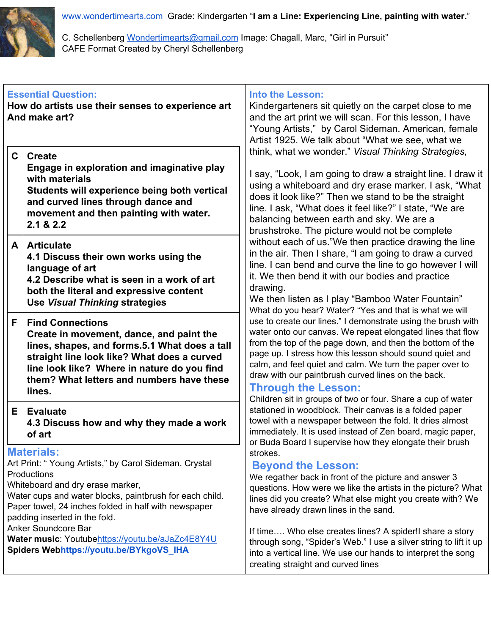

C. Schellenberg [Wondertimearts@gmail.com](mailto:Wondertimearts@gmail.com) Image: Chagall, Marc, "Girl in Pursuit" CAFE Format Created by Cheryl Schellenberg

| <b>Essential Question:</b><br>How do artists use their senses to experience art<br>And make art?<br>$\mathbf{C}$<br><b>Create</b>                                                                                                                                                                                                                                                                       |                                                                                                                                                                                                                                                                           | <b>Into the Lesson:</b><br>Kindergarteners sit quietly on the carpet close to me<br>and the art print we will scan. For this lesson, I have<br>"Young Artists," by Carol Sideman. American, female<br>Artist 1925. We talk about "What we see, what we<br>think, what we wonder." Visual Thinking Strategies,                                                                                                                                                                                                                                                                                                                                                                                                                                                                                                                                                                                                                                                                                                                                                                                                                                                             |
|---------------------------------------------------------------------------------------------------------------------------------------------------------------------------------------------------------------------------------------------------------------------------------------------------------------------------------------------------------------------------------------------------------|---------------------------------------------------------------------------------------------------------------------------------------------------------------------------------------------------------------------------------------------------------------------------|---------------------------------------------------------------------------------------------------------------------------------------------------------------------------------------------------------------------------------------------------------------------------------------------------------------------------------------------------------------------------------------------------------------------------------------------------------------------------------------------------------------------------------------------------------------------------------------------------------------------------------------------------------------------------------------------------------------------------------------------------------------------------------------------------------------------------------------------------------------------------------------------------------------------------------------------------------------------------------------------------------------------------------------------------------------------------------------------------------------------------------------------------------------------------|
|                                                                                                                                                                                                                                                                                                                                                                                                         | Engage in exploration and imaginative play<br>with materials<br>Students will experience being both vertical<br>and curved lines through dance and<br>movement and then painting with water.<br>2.1 & 2.2                                                                 | I say, "Look, I am going to draw a straight line. I draw it<br>using a whiteboard and dry erase marker. I ask, "What<br>does it look like?" Then we stand to be the straight<br>line. I ask, "What does it feel like?" I state, "We are<br>balancing between earth and sky. We are a<br>brushstroke. The picture would not be complete<br>without each of us."We then practice drawing the line<br>in the air. Then I share, "I am going to draw a curved<br>line. I can bend and curve the line to go however I will<br>it. We then bend it with our bodies and practice<br>drawing.<br>We then listen as I play "Bamboo Water Fountain"<br>What do you hear? Water? "Yes and that is what we will<br>use to create our lines." I demonstrate using the brush with<br>water onto our canvas. We repeat elongated lines that flow<br>from the top of the page down, and then the bottom of the<br>page up. I stress how this lesson should sound quiet and<br>calm, and feel quiet and calm. We turn the paper over to<br>draw with our paintbrush curved lines on the back.<br><b>Through the Lesson:</b><br>Children sit in groups of two or four. Share a cup of water |
| A                                                                                                                                                                                                                                                                                                                                                                                                       | <b>Articulate</b><br>4.1 Discuss their own works using the<br>language of art<br>4.2 Describe what is seen in a work of art<br>both the literal and expressive content<br><b>Use Visual Thinking strategies</b>                                                           |                                                                                                                                                                                                                                                                                                                                                                                                                                                                                                                                                                                                                                                                                                                                                                                                                                                                                                                                                                                                                                                                                                                                                                           |
| F                                                                                                                                                                                                                                                                                                                                                                                                       | <b>Find Connections</b><br>Create in movement, dance, and paint the<br>lines, shapes, and forms.5.1 What does a tall<br>straight line look like? What does a curved<br>line look like? Where in nature do you find<br>them? What letters and numbers have these<br>lines. |                                                                                                                                                                                                                                                                                                                                                                                                                                                                                                                                                                                                                                                                                                                                                                                                                                                                                                                                                                                                                                                                                                                                                                           |
| Е                                                                                                                                                                                                                                                                                                                                                                                                       | <b>Evaluate</b><br>4.3 Discuss how and why they made a work<br>of art                                                                                                                                                                                                     | stationed in woodblock. Their canvas is a folded paper<br>towel with a newspaper between the fold. It dries almost<br>immediately. It is used instead of Zen board, magic paper,<br>or Buda Board I supervise how they elongate their brush                                                                                                                                                                                                                                                                                                                                                                                                                                                                                                                                                                                                                                                                                                                                                                                                                                                                                                                               |
| <b>Materials:</b><br>Art Print: "Young Artists," by Carol Sideman. Crystal<br>Productions<br>Whiteboard and dry erase marker,<br>Water cups and water blocks, paintbrush for each child.<br>Paper towel, 24 inches folded in half with newspaper<br>padding inserted in the fold.<br>Anker Soundcore Bar<br>Water music: Youtubehttps://youtu.be/aJaZc4E8Y4U<br>Spiders Webhttps://youtu.be/BYkgoVS IHA |                                                                                                                                                                                                                                                                           | strokes.<br><b>Beyond the Lesson:</b><br>We regather back in front of the picture and answer 3<br>questions. How were we like the artists in the picture? What<br>lines did you create? What else might you create with? We<br>have already drawn lines in the sand.<br>If time Who else creates lines? A spider! share a story<br>through song, "Spider's Web." I use a silver string to lift it up<br>into a vertical line. We use our hands to interpret the song<br>creating straight and curved lines                                                                                                                                                                                                                                                                                                                                                                                                                                                                                                                                                                                                                                                                |